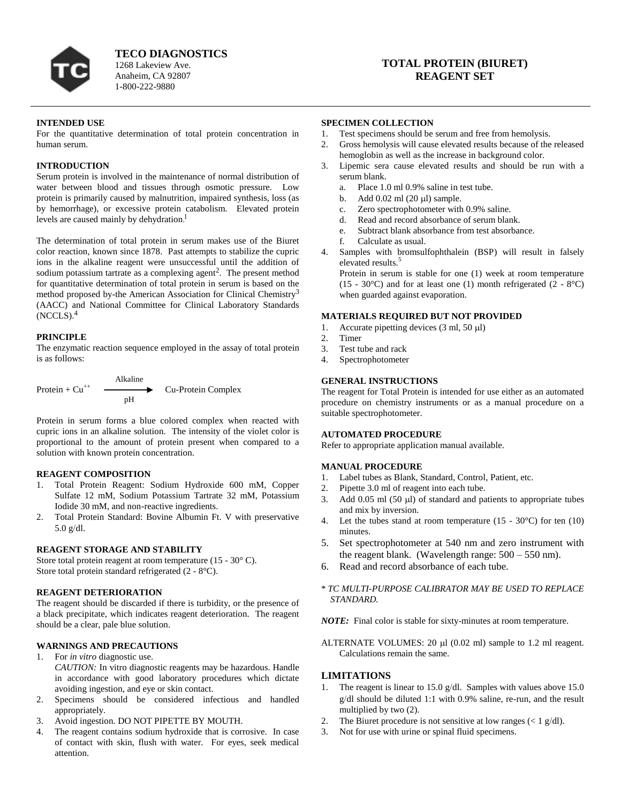

**TECO DIAGNOSTICS** 1268 Lakeview Ave. Anaheim, CA 92807 1-800-222-9880

# **TOTAL PROTEIN (BIURET) REAGENT SET**

### **INTENDED USE**

For the quantitative determination of total protein concentration in human serum.

### **INTRODUCTION**

Serum protein is involved in the maintenance of normal distribution of water between blood and tissues through osmotic pressure. Low protein is primarily caused by malnutrition, impaired synthesis, loss (as by hemorrhage), or excessive protein catabolism. Elevated protein levels are caused mainly by dehydration. l

The determination of total protein in serum makes use of the Biuret color reaction, known since 1878. Past attempts to stabilize the cupric ions in the alkaline reagent were unsuccessful until the addition of sodium potassium tartrate as a complexing agent<sup>2</sup>. The present method for quantitative determination of total protein in serum is based on the method proposed by-the American Association for Clinical Chemistry<sup>3</sup> (AACC) and National Committee for Clinical Laboratory Standards (NCCLS).<sup>4</sup>

#### **PRINCIPLE**

The enzymatic reaction sequence employed in the assay of total protein is as follows:



Protein in serum forms a blue colored complex when reacted with cupric ions in an alkaline solution. The intensity of the violet color is proportional to the amount of protein present when compared to a solution with known protein concentration.

#### **REAGENT COMPOSITION**

- 1. Total Protein Reagent: Sodium Hydroxide 600 mM, Copper Sulfate 12 mM, Sodium Potassium Tartrate 32 mM, Potassium Iodide 30 mM, and non-reactive ingredients.
- 2. Total Protein Standard: Bovine Albumin Ft. V with preservative  $5.0$  g/dl.

#### **REAGENT STORAGE AND STABILITY**

Store total protein reagent at room temperature (15 - 30° C). Store total protein standard refrigerated (2 - 8°C).

#### **REAGENT DETERIORATION**

The reagent should be discarded if there is turbidity, or the presence of a black precipitate, which indicates reagent deterioration. The reagent should be a clear, pale blue solution.

# **WARNINGS AND PRECAUTIONS**

- 1. For *in vitro* diagnostic use. *CAUTION:* In vitro diagnostic reagents may be hazardous. Handle in accordance with good laboratory procedures which dictate avoiding ingestion, and eye or skin contact.
- 2. Specimens should be considered infectious and handled appropriately.
- 3. Avoid ingestion. DO NOT PIPETTE BY MOUTH.
- 4. The reagent contains sodium hydroxide that is corrosive. In case of contact with skin, flush with water. For eyes, seek medical attention.

### **SPECIMEN COLLECTION**

- 1. Test specimens should be serum and free from hemolysis.
- 2. Gross hemolysis will cause elevated results because of the released hemoglobin as well as the increase in background color.
- Lipemic sera cause elevated results and should be run with a serum blank.
	- a. Place 1.0 ml 0.9% saline in test tube.
	- b. Add  $0.02$  ml  $(20 \text{ ul})$  sample.
	- c. Zero spectrophotometer with 0.9% saline.
	- d. Read and record absorbance of serum blank.
	- e. Subtract blank absorbance from test absorbance.
	- f. Calculate as usual.
- 4. Samples with bromsulfophthalein (BSP) will result in falsely elevated results.<sup>5</sup>

Protein in serum is stable for one (1) week at room temperature (15 - 30°C) and for at least one (1) month refrigerated (2 - 8°C) when guarded against evaporation.

#### **MATERIALS REQUIRED BUT NOT PROVIDED**

- 1. Accurate pipetting devices  $(3 \text{ ml}, 50 \text{ µl})$
- 2. Timer
- 3. Test tube and rack
- 4. Spectrophotometer

### **GENERAL INSTRUCTIONS**

The reagent for Total Protein is intended for use either as an automated procedure on chemistry instruments or as a manual procedure on a suitable spectrophotometer.

### **AUTOMATED PROCEDURE**

Refer to appropriate application manual available.

#### **MANUAL PROCEDURE**

- 1. Label tubes as Blank, Standard, Control, Patient, etc.
- 2. Pipette 3.0 ml of reagent into each tube.
- 3. Add 0.05 ml (50  $\mu$ l) of standard and patients to appropriate tubes and mix by inversion.
- 4. Let the tubes stand at room temperature  $(15 30^{\circ}C)$  for ten  $(10)$ minutes.
- 5. Set spectrophotometer at 540 nm and zero instrument with the reagent blank. (Wavelength range:  $500 - 550$  nm).
- 6. Read and record absorbance of each tube.

# \* *TC MULTI-PURPOSE CALIBRATOR MAY BE USED TO REPLACE STANDARD.*

*NOTE:* Final color is stable for sixty-minutes at room temperature.

ALTERNATE VOLUMES: 20  $\mu$ l (0.02 ml) sample to 1.2 ml reagent. Calculations remain the same.

# **LIMITATIONS**

- 1. The reagent is linear to 15.0 g/dl. Samples with values above 15.0 g/dl should be diluted 1:1 with 0.9% saline, re-run, and the result multiplied by two (2).
- The Biuret procedure is not sensitive at low ranges ( $\langle 1 \text{ g/d} \rangle$ ).
- 3. Not for use with urine or spinal fluid specimens.